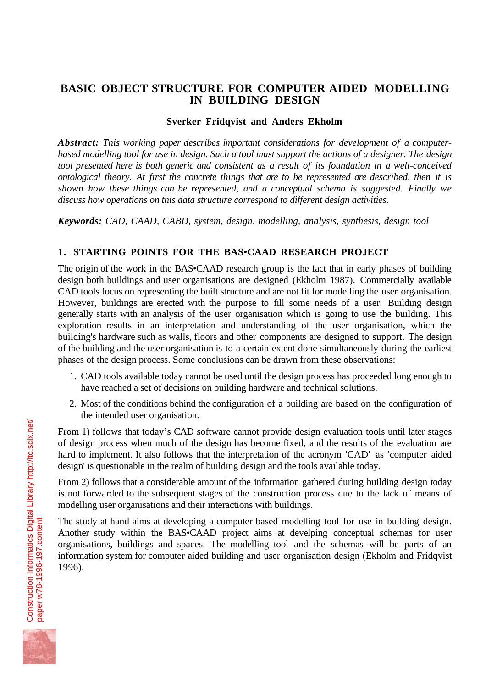# **BASIC OBJECT STRUCTURE FOR COMPUTER AIDED MODELLING IN BUILDING DESIGN**

# **Sverker Fridqvist and Anders Ekholm**

*Abstract: This working paper describes important considerations for development of a computerbased modelling tool for use in design. Such a tool must support the actions of a designer. The design tool presented here is both generic and consistent as a result of its foundation in a well-conceived ontological theory. At first the concrete things that are to be represented are described, then it is shown how these things can be represented, and a conceptual schema is suggested. Finally we discuss how operations on this data structure correspond to different design activities.*

*Keywords: CAD, CAAD, CABD, system, design, modelling, analysis, synthesis, design tool*

# **1. STARTING POINTS FOR THE BAS•CAAD RESEARCH PROJECT**

The origin of the work in the BAS•CAAD research group is the fact that in early phases of building design both buildings and user organisations are designed (Ekholm 1987). Commercially available CAD tools focus on representing the built structure and are not fit for modelling the user organisation. However, buildings are erected with the purpose to fill some needs of a user. Building design generally starts with an analysis of the user organisation which is going to use the building. This exploration results in an interpretation and understanding of the user organisation, which the building's hardware such as walls, floors and other components are designed to support. The design of the building and the user organisation is to a certain extent done simultaneously during the earliest phases of the design process. Some conclusions can be drawn from these observations:

- 1. CAD tools available today cannot be used until the design process has proceeded long enough to have reached a set of decisions on building hardware and technical solutions.
- 2. Most of the conditions behind the configuration of a building are based on the configuration of the intended user organisation.

From 1) follows that today's CAD software cannot provide design evaluation tools until later stages of design process when much of the design has become fixed, and the results of the evaluation are hard to implement. It also follows that the interpretation of the acronym 'CAD' as 'computer aided design' is questionable in the realm of building design and the tools available today.

From 2) follows that a considerable amount of the information gathered during building design today is not forwarded to the subsequent stages of the construction process due to the lack of means of modelling user organisations and their interactions with buildings.

The study at hand aims at developing a computer based modelling tool for use in building design. Another study within the BAS•CAAD project aims at develping conceptual schemas for user organisations, buildings and spaces. The modelling tool and the schemas will be parts of an information system for computer aided building and user organisation design (Ekholm and Fridqvist 1996).

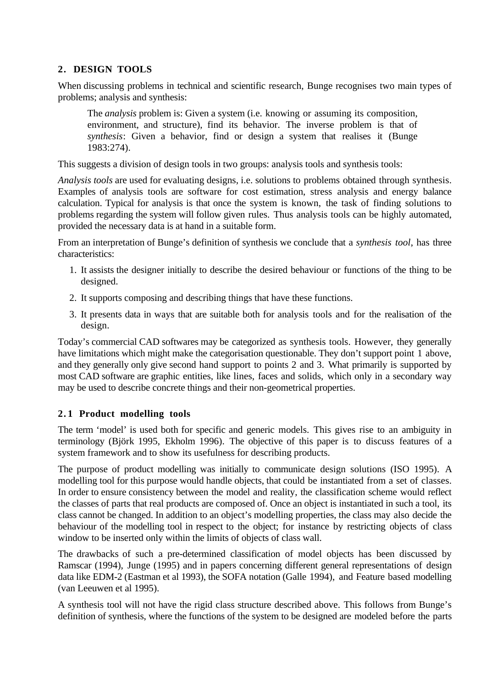# **2. DESIGN TOOLS**

When discussing problems in technical and scientific research, Bunge recognises two main types of problems; analysis and synthesis:

The *analysis* problem is: Given a system (i.e. knowing or assuming its composition, environment, and structure), find its behavior. The inverse problem is that of *synthesis*: Given a behavior, find or design a system that realises it (Bunge 1983:274).

This suggests a division of design tools in two groups: analysis tools and synthesis tools:

*Analysis tools* are used for evaluating designs, i.e. solutions to problems obtained through synthesis. Examples of analysis tools are software for cost estimation, stress analysis and energy balance calculation. Typical for analysis is that once the system is known, the task of finding solutions to problems regarding the system will follow given rules. Thus analysis tools can be highly automated, provided the necessary data is at hand in a suitable form.

From an interpretation of Bunge's definition of synthesis we conclude that a *synthesis tool*, has three characteristics:

- 1. It assists the designer initially to describe the desired behaviour or functions of the thing to be designed.
- 2. It supports composing and describing things that have these functions.
- 3. It presents data in ways that are suitable both for analysis tools and for the realisation of the design.

Today's commercial CAD softwares may be categorized as synthesis tools. However, they generally have limitations which might make the categorisation questionable. They don't support point 1 above, and they generally only give second hand support to points 2 and 3. What primarily is supported by most CAD software are graphic entities, like lines, faces and solids, which only in a secondary way may be used to describe concrete things and their non-geometrical properties.

# **2. 1 Product modelling tools**

The term 'model' is used both for specific and generic models. This gives rise to an ambiguity in terminology (Björk 1995, Ekholm 1996). The objective of this paper is to discuss features of a system framework and to show its usefulness for describing products.

The purpose of product modelling was initially to communicate design solutions (ISO 1995). A modelling tool for this purpose would handle objects, that could be instantiated from a set of classes. In order to ensure consistency between the model and reality, the classification scheme would reflect the classes of parts that real products are composed of. Once an object is instantiated in such a tool, its class cannot be changed. In addition to an object's modelling properties, the class may also decide the behaviour of the modelling tool in respect to the object; for instance by restricting objects of class window to be inserted only within the limits of objects of class wall.

The drawbacks of such a pre-determined classification of model objects has been discussed by Ramscar (1994), Junge (1995) and in papers concerning different general representations of design data like EDM-2 (Eastman et al 1993), the SOFA notation (Galle 1994), and Feature based modelling (van Leeuwen et al 1995).

A synthesis tool will not have the rigid class structure described above. This follows from Bunge's definition of synthesis, where the functions of the system to be designed are modeled before the parts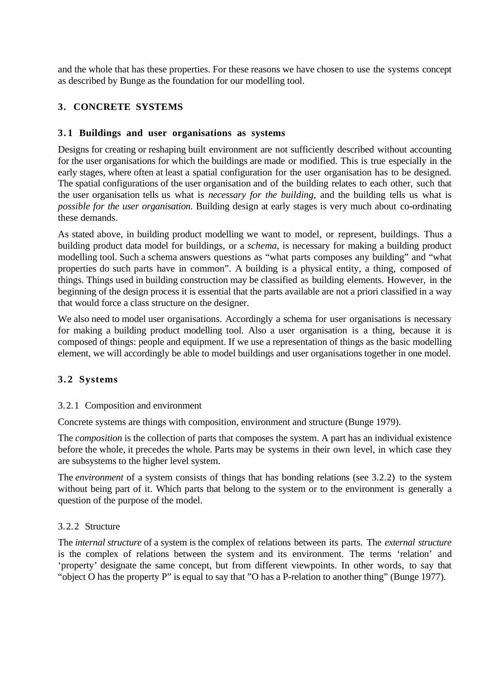and the whole that has these properties. For these reasons we have chosen to use the systems concept as described by Bunge as the foundation for our modelling tool.

# **3. CONCRETE SYSTEMS**

### **3. 1 Buildings and user organisations as systems**

Designs for creating or reshaping built environment are not sufficiently described without accounting for the user organisations for which the buildings are made or modified. This is true especially in the early stages, where often at least a spatial configuration for the user organisation has to be designed. The spatial configurations of the user organisation and of the building relates to each other, such that the user organisation tells us what is *necessary for the building,* and the building tells us what is *possible for the user organisation.* Building design at early stages is very much about co-ordinating these demands.

As stated above, in building product modelling we want to model, or represent, buildings. Thus a building product data model for buildings, or a *schema*, is necessary for making a building product modelling tool. Such a schema answers questions as "what parts composes any building" and "what properties do such parts have in common". A building is a physical entity, a thing, composed of things. Things used in building construction may be classified as building elements. However, in the beginning of the design process it is essential that the parts available are not a priori classified in a way that would force a class structure on the designer.

We also need to model user organisations. Accordingly a schema for user organisations is necessary for making a building product modelling tool. Also a user organisation is a thing, because it is composed of things: people and equipment. If we use a representation of things as the basic modelling element, we will accordingly be able to model buildings and user organisations together in one model.

# **3. 2 Systems**

#### 3.2.1 Composition and environment

Concrete systems are things with composition, environment and structure (Bunge 1979).

The *composition* is the collection of parts that composes the system. A part has an individual existence before the whole, it precedes the whole. Parts may be systems in their own level, in which case they are subsystems to the higher level system.

The *environment* of a system consists of things that has bonding relations (see 3.2.2) to the system without being part of it. Which parts that belong to the system or to the environment is generally a question of the purpose of the model.

#### 3.2.2 Structure

The *internal structure* of a system is the complex of relations between its parts. The *external structure* is the complex of relations between the system and its environment. The terms 'relation' and 'property' designate the same concept, but from different viewpoints. In other words, to say that "object O has the property P" is equal to say that "O has a P-relation to another thing" (Bunge 1977).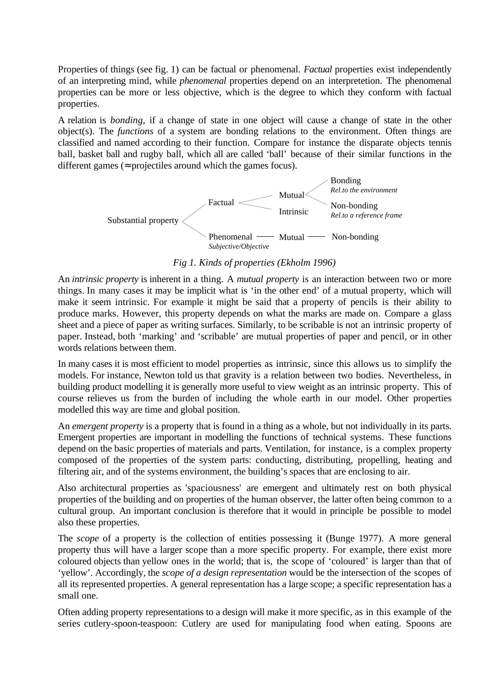Properties of things (see fig. 1) can be factual or phenomenal. *Factual* properties exist independently of an interpreting mind, while *phenomenal* properties depend on an interpretetion. The phenomenal properties can be more or less objective, which is the degree to which they conform with factual properties.

A relation is *bonding*, if a change of state in one object will cause a change of state in the other object(s). The *functions* of a system are bonding relations to the environment. Often things are classified and named according to their function. Compare for instance the disparate objects tennis ball, basket ball and rugby ball, which all are called 'ball' because of their similar functions in the different games ( $\approx$  projectiles around which the games focus).



### *Fig 1. Kinds of properties (Ekholm 1996)*

An *intrinsic property* is inherent in a thing. A *mutual property* is an interaction between two or more things. In many cases it may be implicit what is 'in the other end' of a mutual property, which will make it seem intrinsic. For example it might be said that a property of pencils is their ability to produce marks. However, this property depends on what the marks are made on. Compare a glass sheet and a piece of paper as writing surfaces. Similarly, to be scribable is not an intrinsic property of paper. Instead, both 'marking' and 'scribable' are mutual properties of paper and pencil, or in other words relations between them.

In many cases it is most efficient to model properties as intrinsic, since this allows us to simplify the models. For instance, Newton told us that gravity is a relation between two bodies. Nevertheless, in building product modelling it is generally more useful to view weight as an intrinsic property. This of course relieves us from the burden of including the whole earth in our model. Other properties modelled this way are time and global position.

An *emergent property* is a property that is found in a thing as a whole, but not individually in its parts. Emergent properties are important in modelling the functions of technical systems. These functions depend on the basic properties of materials and parts. Ventilation, for instance, is a complex property composed of the properties of the system parts: conducting, distributing, propelling, heating and filtering air, and of the systems environment, the building's spaces that are enclosing to air.

Also architectural properties as 'spaciousness' are emergent and ultimately rest on both physical properties of the building and on properties of the human observer, the latter often being common to a cultural group. An important conclusion is therefore that it would in principle be possible to model also these properties.

The *scope* of a property is the collection of entities possessing it (Bunge 1977). A more general property thus will have a larger scope than a more specific property. For example, there exist more coloured objects than yellow ones in the world; that is, the scope of 'coloured' is larger than that of 'yellow'. Accordingly, the *scope of a design representation* would be the intersection of the scopes of all its represented properties. A general representation has a large scope; a specific representation has a small one.

Often adding property representations to a design will make it more specific, as in this example of the series cutlery-spoon-teaspoon: Cutlery are used for manipulating food when eating. Spoons are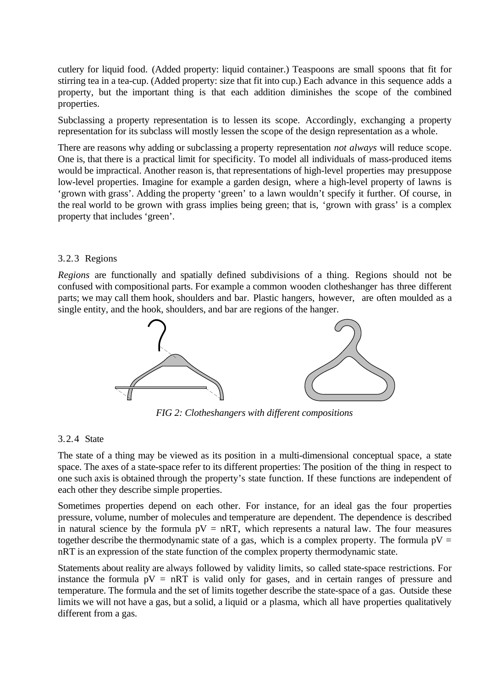cutlery for liquid food. (Added property: liquid container.) Teaspoons are small spoons that fit for stirring tea in a tea-cup. (Added property: size that fit into cup.) Each advance in this sequence adds a property, but the important thing is that each addition diminishes the scope of the combined properties.

Subclassing a property representation is to lessen its scope. Accordingly, exchanging a property representation for its subclass will mostly lessen the scope of the design representation as a whole.

There are reasons why adding or subclassing a property representation *not always* will reduce scope. One is, that there is a practical limit for specificity. To model all individuals of mass-produced items would be impractical. Another reason is, that representations of high-level properties may presuppose low-level properties. Imagine for example a garden design, where a high-level property of lawns is 'grown with grass'. Adding the property 'green' to a lawn wouldn't specify it further. Of course, in the real world to be grown with grass implies being green; that is, 'grown with grass' is a complex property that includes 'green'.

#### 3.2.3 Regions

*Regions* are functionally and spatially defined subdivisions of a thing. Regions should not be confused with compositional parts. For example a common wooden clotheshanger has three different parts; we may call them hook, shoulders and bar. Plastic hangers, however, are often moulded as a single entity, and the hook, shoulders, and bar are regions of the hanger.



*FIG 2: Clotheshangers with different compositions*

#### 3.2.4 State

The state of a thing may be viewed as its position in a multi-dimensional conceptual space, a state space. The axes of a state-space refer to its different properties: The position of the thing in respect to one such axis is obtained through the property's state function. If these functions are independent of each other they describe simple properties.

Sometimes properties depend on each other. For instance, for an ideal gas the four properties pressure, volume, number of molecules and temperature are dependent. The dependence is described in natural science by the formula  $pV = nRT$ , which represents a natural law. The four measures together describe the thermodynamic state of a gas, which is a complex property. The formula  $pV =$ nRT is an expression of the state function of the complex property thermodynamic state.

Statements about reality are always followed by validity limits, so called state-space restrictions. For instance the formula  $pV = nRT$  is valid only for gases, and in certain ranges of pressure and temperature. The formula and the set of limits together describe the state-space of a gas. Outside these limits we will not have a gas, but a solid, a liquid or a plasma, which all have properties qualitatively different from a gas.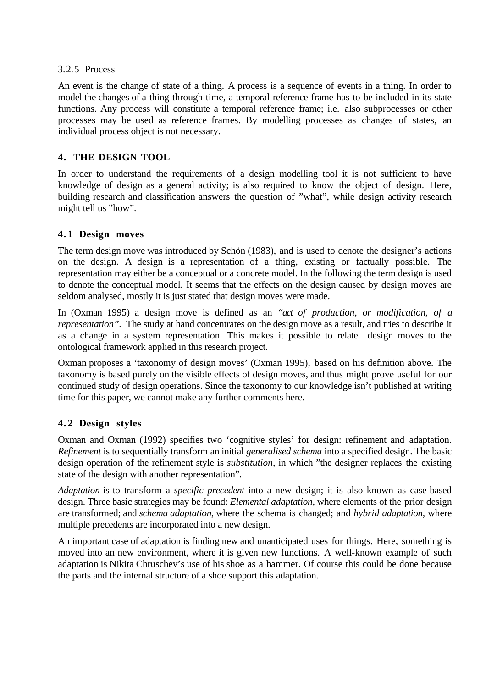### 3.2.5 Process

An event is the change of state of a thing. A process is a sequence of events in a thing. In order to model the changes of a thing through time, a temporal reference frame has to be included in its state functions. Any process will constitute a temporal reference frame; i.e. also subprocesses or other processes may be used as reference frames. By modelling processes as changes of states, an individual process object is not necessary.

# **4. THE DESIGN TOOL**

In order to understand the requirements of a design modelling tool it is not sufficient to have knowledge of design as a general activity; is also required to know the object of design. Here, building research and classification answers the question of "what", while design activity research might tell us "how".

# **4. 1 Design moves**

The term design move was introduced by Schön (1983), and is used to denote the designer's actions on the design. A design is a representation of a thing, existing or factually possible. The representation may either be a conceptual or a concrete model. In the following the term design is used to denote the conceptual model. It seems that the effects on the design caused by design moves are seldom analysed, mostly it is just stated that design moves were made.

In (Oxman 1995) a design move is defined as an *"act of production, or modification, of a representation*". The study at hand concentrates on the design move as a result, and tries to describe it as a change in a system representation. This makes it possible to relate design moves to the ontological framework applied in this research project.

Oxman proposes a 'taxonomy of design moves' (Oxman 1995), based on his definition above. The taxonomy is based purely on the visible effects of design moves, and thus might prove useful for our continued study of design operations. Since the taxonomy to our knowledge isn't published at writing time for this paper, we cannot make any further comments here.

# **4. 2 Design styles**

Oxman and Oxman (1992) specifies two 'cognitive styles' for design: refinement and adaptation. *Refinement* is to sequentially transform an initial *generalised schema* into a specified design. The basic design operation of the refinement style is *substitution,* in which "the designer replaces the existing state of the design with another representation".

*Adaptation* is to transform a *specific precedent* into a new design; it is also known as case-based design. Three basic strategies may be found: *Elemental adaptation,* where elements of the prior design are transformed; and *schema adaptation,* where the schema is changed; and *hybrid adaptation,* where multiple precedents are incorporated into a new design.

An important case of adaptation is finding new and unanticipated uses for things. Here, something is moved into an new environment, where it is given new functions. A well-known example of such adaptation is Nikita Chruschev's use of his shoe as a hammer. Of course this could be done because the parts and the internal structure of a shoe support this adaptation.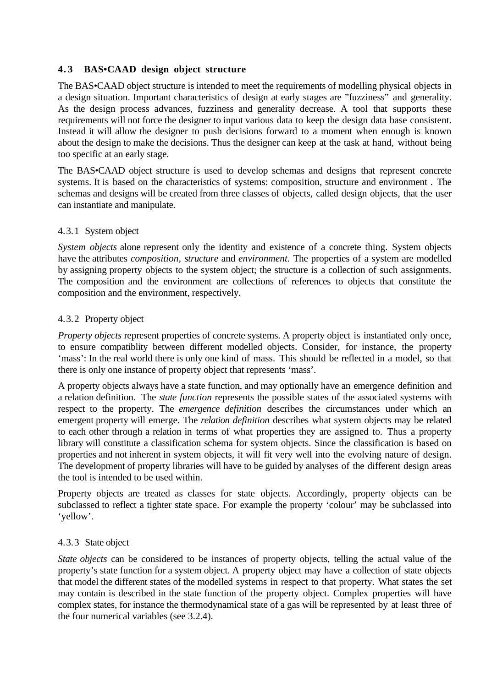# **4. 3 BAS•CAAD design object structure**

The BAS•CAAD object structure is intended to meet the requirements of modelling physical objects in a design situation. Important characteristics of design at early stages are "fuzziness" and generality. As the design process advances, fuzziness and generality decrease. A tool that supports these requirements will not force the designer to input various data to keep the design data base consistent. Instead it will allow the designer to push decisions forward to a moment when enough is known about the design to make the decisions. Thus the designer can keep at the task at hand, without being too specific at an early stage.

The BAS•CAAD object structure is used to develop schemas and designs that represent concrete systems. It is based on the characteristics of systems: composition, structure and environment . The schemas and designs will be created from three classes of objects, called design objects, that the user can instantiate and manipulate.

# 4.3.1 System object

*System objects* alone represent only the identity and existence of a concrete thing. System objects have the attributes *composition, structure* and *environment.* The properties of a system are modelled by assigning property objects to the system object; the structure is a collection of such assignments. The composition and the environment are collections of references to objects that constitute the composition and the environment, respectively.

# 4.3.2 Property object

*Property objects* represent properties of concrete systems. A property object is instantiated only once, to ensure compatiblity between different modelled objects. Consider, for instance, the property 'mass': In the real world there is only one kind of mass. This should be reflected in a model, so that there is only one instance of property object that represents 'mass'.

A property objects always have a state function, and may optionally have an emergence definition and a relation definition. The *state function* represents the possible states of the associated systems with respect to the property. The *emergence definition* describes the circumstances under which an emergent property will emerge. The *relation definition* describes what system objects may be related to each other through a relation in terms of what properties they are assigned to. Thus a property library will constitute a classification schema for system objects. Since the classification is based on properties and not inherent in system objects, it will fit very well into the evolving nature of design. The development of property libraries will have to be guided by analyses of the different design areas the tool is intended to be used within.

Property objects are treated as classes for state objects. Accordingly, property objects can be subclassed to reflect a tighter state space. For example the property 'colour' may be subclassed into 'yellow'.

#### 4.3.3 State object

*State objects* can be considered to be instances of property objects, telling the actual value of the property's state function for a system object. A property object may have a collection of state objects that model the different states of the modelled systems in respect to that property. What states the set may contain is described in the state function of the property object. Complex properties will have complex states, for instance the thermodynamical state of a gas will be represented by at least three of the four numerical variables (see 3.2.4).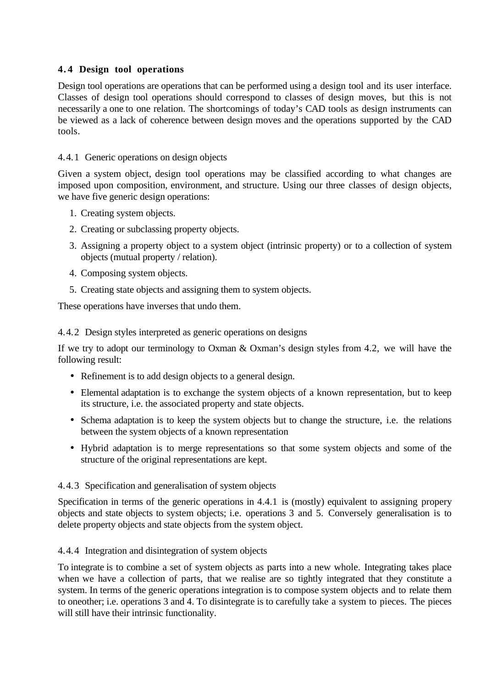# **4. 4 Design tool operations**

Design tool operations are operations that can be performed using a design tool and its user interface. Classes of design tool operations should correspond to classes of design moves, but this is not necessarily a one to one relation. The shortcomings of today's CAD tools as design instruments can be viewed as a lack of coherence between design moves and the operations supported by the CAD tools.

# 4.4.1 Generic operations on design objects

Given a system object, design tool operations may be classified according to what changes are imposed upon composition, environment, and structure. Using our three classes of design objects, we have five generic design operations:

- 1. Creating system objects.
- 2. Creating or subclassing property objects.
- 3. Assigning a property object to a system object (intrinsic property) or to a collection of system objects (mutual property / relation).
- 4. Composing system objects.
- 5. Creating state objects and assigning them to system objects.

These operations have inverses that undo them.

4.4.2 Design styles interpreted as generic operations on designs

If we try to adopt our terminology to Oxman & Oxman's design styles from 4.2, we will have the following result:

- Refinement is to add design objects to a general design.
- Elemental adaptation is to exchange the system objects of a known representation, but to keep its structure, i.e. the associated property and state objects.
- Schema adaptation is to keep the system objects but to change the structure, i.e. the relations between the system objects of a known representation
- Hybrid adaptation is to merge representations so that some system objects and some of the structure of the original representations are kept.

# 4.4.3 Specification and generalisation of system objects

Specification in terms of the generic operations in 4.4.1 is (mostly) equivalent to assigning propery objects and state objects to system objects; i.e. operations 3 and 5. Conversely generalisation is to delete property objects and state objects from the system object.

# 4.4.4 Integration and disintegration of system objects

To integrate is to combine a set of system objects as parts into a new whole. Integrating takes place when we have a collection of parts, that we realise are so tightly integrated that they constitute a system. In terms of the generic operations integration is to compose system objects and to relate them to oneother; i.e. operations 3 and 4. To disintegrate is to carefully take a system to pieces. The pieces will still have their intrinsic functionality.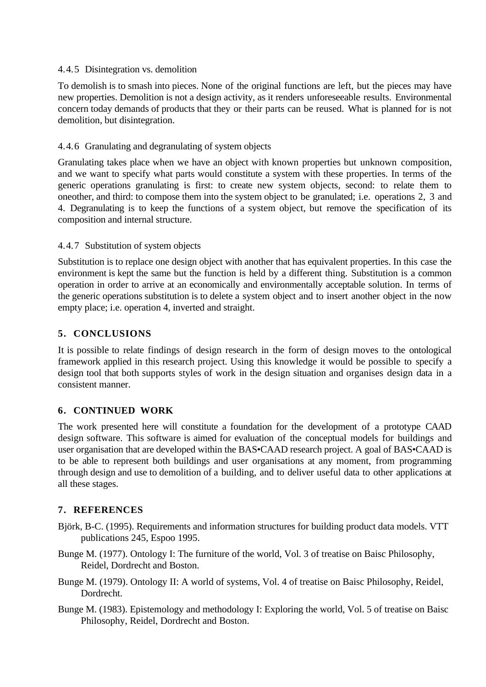### 4.4.5 Disintegration vs. demolition

To demolish is to smash into pieces. None of the original functions are left, but the pieces may have new properties. Demolition is not a design activity, as it renders unforeseeable results. Environmental concern today demands of products that they or their parts can be reused. What is planned for is not demolition, but disintegration.

# 4.4.6 Granulating and degranulating of system objects

Granulating takes place when we have an object with known properties but unknown composition, and we want to specify what parts would constitute a system with these properties. In terms of the generic operations granulating is first: to create new system objects, second: to relate them to oneother, and third: to compose them into the system object to be granulated; i.e. operations 2, 3 and 4. Degranulating is to keep the functions of a system object, but remove the specification of its composition and internal structure.

### 4.4.7 Substitution of system objects

Substitution is to replace one design object with another that has equivalent properties. In this case the environment is kept the same but the function is held by a different thing. Substitution is a common operation in order to arrive at an economically and environmentally acceptable solution. In terms of the generic operations substitution is to delete a system object and to insert another object in the now empty place; i.e. operation 4, inverted and straight.

# **5. CONCLUSIONS**

It is possible to relate findings of design research in the form of design moves to the ontological framework applied in this research project. Using this knowledge it would be possible to specify a design tool that both supports styles of work in the design situation and organises design data in a consistent manner.

# **6. CONTINUED WORK**

The work presented here will constitute a foundation for the development of a prototype CAAD design software. This software is aimed for evaluation of the conceptual models for buildings and user organisation that are developed within the BAS•CAAD research project. A goal of BAS•CAAD is to be able to represent both buildings and user organisations at any moment, from programming through design and use to demolition of a building, and to deliver useful data to other applications at all these stages.

# **7. REFERENCES**

- Björk, B-C. (1995). Requirements and information structures for building product data models. VTT publications 245, Espoo 1995.
- Bunge M. (1977). Ontology I: The furniture of the world, Vol. 3 of treatise on Baisc Philosophy, Reidel, Dordrecht and Boston.
- Bunge M. (1979). Ontology II: A world of systems, Vol. 4 of treatise on Baisc Philosophy, Reidel, Dordrecht.
- Bunge M. (1983). Epistemology and methodology I: Exploring the world, Vol. 5 of treatise on Baisc Philosophy, Reidel, Dordrecht and Boston.